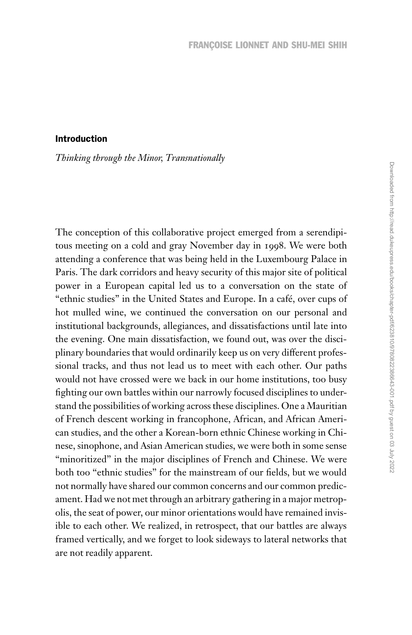## Introduction

*Thinking through the Minor, Transnationally*

The conception of this collaborative project emerged from a serendipitous meeting on a cold and gray November day in 1998. We were both attending a conference that was being held in the Luxembourg Palace in Paris. The dark corridors and heavy security of this major site of political power in a European capital led us to a conversation on the state of "ethnic studies" in the United States and Europe. In a café, over cups of hot mulled wine, we continued the conversation on our personal and institutional backgrounds, allegiances, and dissatisfactions until late into the evening. One main dissatisfaction, we found out, was over the disciplinary boundaries that would ordinarily keep us on very different professional tracks, and thus not lead us to meet with each other. Our paths would not have crossed were we back in our home institutions, too busy fighting our own battles within our narrowly focused disciplines to understand the possibilities of working across these disciplines. One a Mauritian of French descent working in francophone, African, and African American studies, and the other a Korean-born ethnic Chinese working in Chinese, sinophone, and Asian American studies, we were both in some sense "minoritized" in the major disciplines of French and Chinese. We were both too ''ethnic studies'' for the mainstream of our fields, but we would not normally have shared our common concerns and our common predicament. Had we not met through an arbitrary gathering in a major metropolis, the seat of power, our minor orientations would have remained invisible to each other. We realized, in retrospect, that our battles are always framed vertically, and we forget to look sideways to lateral networks that are not readily apparent.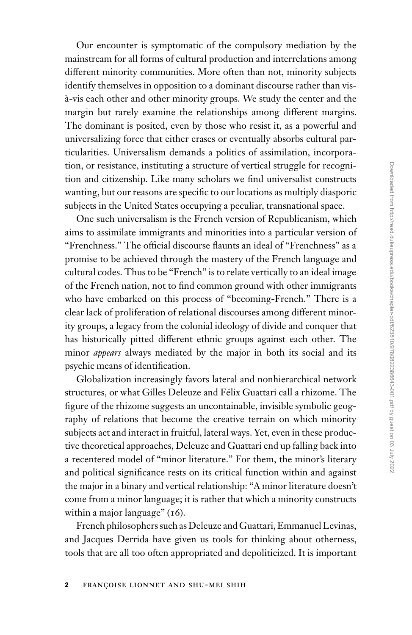Our encounter is symptomatic of the compulsory mediation by the mainstream for all forms of cultural production and interrelations among different minority communities. More often than not, minority subjects identify themselves in opposition to a dominant discourse rather than visà-vis each other and other minority groups. We study the center and the margin but rarely examine the relationships among different margins. The dominant is posited, even by those who resist it, as a powerful and universalizing force that either erases or eventually absorbs cultural particularities. Universalism demands a politics of assimilation, incorporation, or resistance, instituting a structure of vertical struggle for recognition and citizenship. Like many scholars we find universalist constructs wanting, but our reasons are specific to our locations as multiply diasporic subjects in the United States occupying a peculiar, transnational space.

One such universalism is the French version of Republicanism, which aims to assimilate immigrants and minorities into a particular version of ''Frenchness.'' The official discourse flaunts an ideal of ''Frenchness'' as a promise to be achieved through the mastery of the French language and cultural codes. Thus to be ''French'' is to relate vertically to an ideal image of the French nation, not to find common ground with other immigrants who have embarked on this process of ''becoming-French.'' There is a clear lack of proliferation of relational discourses among different minority groups, a legacy from the colonial ideology of divide and conquer that has historically pitted different ethnic groups against each other. The minor *appears* always mediated by the major in both its social and its psychic means of identification.

Globalization increasingly favors lateral and nonhierarchical network structures, or what Gilles Deleuze and Félix Guattari call a rhizome. The figure of the rhizome suggests an uncontainable, invisible symbolic geography of relations that become the creative terrain on which minority subjects act and interact in fruitful, lateral ways. Yet, even in these productive theoretical approaches, Deleuze and Guattari end up falling back into a recentered model of ''minor literature.'' For them, the minor's literary and political significance rests on its critical function within and against the major in a binary and vertical relationship: ''A minor literature doesn't come from a minor language; it is rather that which a minority constructs within a major language" (16).

French philosophers such as Deleuze and Guattari, Emmanuel Levinas, and Jacques Derrida have given us tools for thinking about otherness, tools that are all too often appropriated and depoliticized. It is important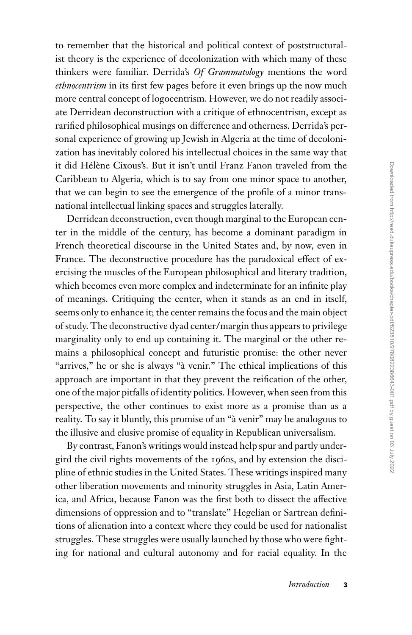to remember that the historical and political context of poststructuralist theory is the experience of decolonization with which many of these thinkers were familiar. Derrida's *Of Grammatology* mentions the word *ethnocentrism* in its first few pages before it even brings up the now much more central concept of logocentrism. However, we do not readily associate Derridean deconstruction with a critique of ethnocentrism, except as rarified philosophical musings on difference and otherness. Derrida's personal experience of growing up Jewish in Algeria at the time of decolonization has inevitably colored his intellectual choices in the same way that it did Hélène Cixous's. But it isn't until Franz Fanon traveled from the Caribbean to Algeria, which is to say from one minor space to another, that we can begin to see the emergence of the profile of a minor transnational intellectual linking spaces and struggles laterally.

Derridean deconstruction, even though marginal to the European center in the middle of the century, has become a dominant paradigm in French theoretical discourse in the United States and, by now, even in France. The deconstructive procedure has the paradoxical effect of exercising the muscles of the European philosophical and literary tradition, which becomes even more complex and indeterminate for an infinite play of meanings. Critiquing the center, when it stands as an end in itself, seems only to enhance it; the center remains the focus and the main object of study. The deconstructive dyad center/margin thus appears to privilege marginality only to end up containing it. The marginal or the other remains a philosophical concept and futuristic promise: the other never "arrives," he or she is always "à venir." The ethical implications of this approach are important in that they prevent the reification of the other, one of the major pitfalls of identity politics. However, when seen from this perspective, the other continues to exist more as a promise than as a reality. To say it bluntly, this promise of an ''à venir'' may be analogous to the illusive and elusive promise of equality in Republican universalism.

By contrast, Fanon's writings would instead help spur and partly undergird the civil rights movements of the 1960s, and by extension the discipline of ethnic studies in the United States. These writings inspired many other liberation movements and minority struggles in Asia, Latin America, and Africa, because Fanon was the first both to dissect the affective dimensions of oppression and to "translate" Hegelian or Sartrean definitions of alienation into a context where they could be used for nationalist struggles. These struggles were usually launched by those who were fighting for national and cultural autonomy and for racial equality. In the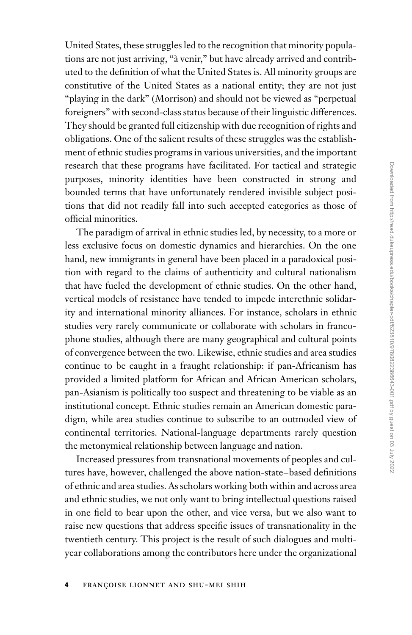United States, these struggles led to the recognition that minority populations are not just arriving, ''à venir,'' but have already arrived and contributed to the definition of what the United States is. All minority groups are constitutive of the United States as a national entity; they are not just "playing in the dark" (Morrison) and should not be viewed as "perpetual foreigners'' with second-class status because of their linguistic differences. They should be granted full citizenship with due recognition of rights and obligations. One of the salient results of these struggles was the establishment of ethnic studies programs in various universities, and the important research that these programs have facilitated. For tactical and strategic purposes, minority identities have been constructed in strong and bounded terms that have unfortunately rendered invisible subject positions that did not readily fall into such accepted categories as those of official minorities.

The paradigm of arrival in ethnic studies led, by necessity, to a more or less exclusive focus on domestic dynamics and hierarchies. On the one hand, new immigrants in general have been placed in a paradoxical position with regard to the claims of authenticity and cultural nationalism that have fueled the development of ethnic studies. On the other hand, vertical models of resistance have tended to impede interethnic solidarity and international minority alliances. For instance, scholars in ethnic studies very rarely communicate or collaborate with scholars in francophone studies, although there are many geographical and cultural points of convergence between the two. Likewise, ethnic studies and area studies continue to be caught in a fraught relationship: if pan-Africanism has provided a limited platform for African and African American scholars, pan-Asianism is politically too suspect and threatening to be viable as an institutional concept. Ethnic studies remain an American domestic paradigm, while area studies continue to subscribe to an outmoded view of continental territories. National-language departments rarely question the metonymical relationship between language and nation.

Increased pressures from transnational movements of peoples and cultures have, however, challenged the above nation-state–based definitions of ethnic and area studies. As scholars working both within and across area and ethnic studies, we not only want to bring intellectual questions raised in one field to bear upon the other, and vice versa, but we also want to raise new questions that address specific issues of transnationality in the twentieth century. This project is the result of such dialogues and multiyear collaborations among the contributors here under the organizational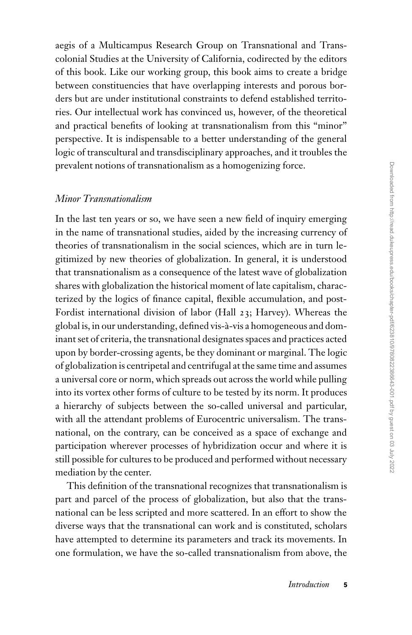aegis of a Multicampus Research Group on Transnational and Transcolonial Studies at the University of California, codirected by the editors of this book. Like our working group, this book aims to create a bridge between constituencies that have overlapping interests and porous borders but are under institutional constraints to defend established territories. Our intellectual work has convinced us, however, of the theoretical and practical benefits of looking at transnationalism from this ''minor'' perspective. It is indispensable to a better understanding of the general logic of transcultural and transdisciplinary approaches, and it troubles the prevalent notions of transnationalism as a homogenizing force.

## *Minor Transnationalism*

In the last ten years or so, we have seen a new field of inquiry emerging in the name of transnational studies, aided by the increasing currency of theories of transnationalism in the social sciences, which are in turn legitimized by new theories of globalization. In general, it is understood that transnationalism as a consequence of the latest wave of globalization shares with globalization the historical moment of late capitalism, characterized by the logics of finance capital, flexible accumulation, and post-Fordist international division of labor (Hall 23; Harvey). Whereas the global is, in our understanding, defined vis-à-vis a homogeneous and dominant set of criteria, the transnational designates spaces and practices acted upon by border-crossing agents, be they dominant or marginal. The logic of globalization is centripetal and centrifugal at the same time and assumes a universal core or norm, which spreads out across the world while pulling into its vortex other forms of culture to be tested by its norm. It produces a hierarchy of subjects between the so-called universal and particular, with all the attendant problems of Eurocentric universalism. The transnational, on the contrary, can be conceived as a space of exchange and participation wherever processes of hybridization occur and where it is still possible for cultures to be produced and performed without necessary mediation by the center.

This definition of the transnational recognizes that transnationalism is part and parcel of the process of globalization, but also that the transnational can be less scripted and more scattered. In an effort to show the diverse ways that the transnational can work and is constituted, scholars have attempted to determine its parameters and track its movements. In one formulation, we have the so-called transnationalism from above, the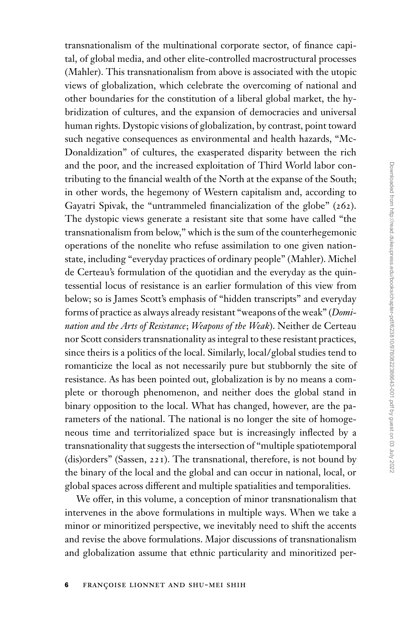transnationalism of the multinational corporate sector, of finance capital, of global media, and other elite-controlled macrostructural processes (Mahler). This transnationalism from above is associated with the utopic views of globalization, which celebrate the overcoming of national and other boundaries for the constitution of a liberal global market, the hybridization of cultures, and the expansion of democracies and universal human rights. Dystopic visions of globalization, by contrast, point toward such negative consequences as environmental and health hazards, ''Mc-Donaldization'' of cultures, the exasperated disparity between the rich and the poor, and the increased exploitation of Third World labor contributing to the financial wealth of the North at the expanse of the South; in other words, the hegemony of Western capitalism and, according to Gayatri Spivak, the "untrammeled financialization of the globe" (262). The dystopic views generate a resistant site that some have called ''the transnationalism from below,'' which is the sum of the counterhegemonic operations of the nonelite who refuse assimilation to one given nationstate, including ''everyday practices of ordinary people'' (Mahler). Michel de Certeau's formulation of the quotidian and the everyday as the quintessential locus of resistance is an earlier formulation of this view from below; so is James Scott's emphasis of ''hidden transcripts'' and everyday forms of practice as always already resistant ''weapons of the weak'' (*Domination and the Arts of Resistance*; *Weapons of the Weak*). Neither de Certeau nor Scott considers transnationality as integral to these resistant practices, since theirs is a politics of the local. Similarly, local/global studies tend to romanticize the local as not necessarily pure but stubbornly the site of resistance. As has been pointed out, globalization is by no means a complete or thorough phenomenon, and neither does the global stand in binary opposition to the local. What has changed, however, are the parameters of the national. The national is no longer the site of homogeneous time and territorialized space but is increasingly inflected by a transnationality that suggests the intersection of ''multiple spatiotemporal (dis)orders'' (Sassen, 221). The transnational, therefore, is not bound by the binary of the local and the global and can occur in national, local, or global spaces across different and multiple spatialities and temporalities.

We offer, in this volume, a conception of minor transnationalism that intervenes in the above formulations in multiple ways. When we take a minor or minoritized perspective, we inevitably need to shift the accents and revise the above formulations. Major discussions of transnationalism and globalization assume that ethnic particularity and minoritized per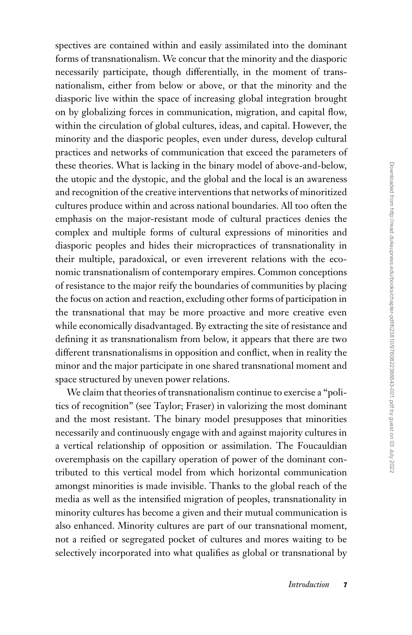spectives are contained within and easily assimilated into the dominant forms of transnationalism. We concur that the minority and the diasporic necessarily participate, though differentially, in the moment of transnationalism, either from below or above, or that the minority and the diasporic live within the space of increasing global integration brought on by globalizing forces in communication, migration, and capital flow, within the circulation of global cultures, ideas, and capital. However, the minority and the diasporic peoples, even under duress, develop cultural practices and networks of communication that exceed the parameters of these theories. What is lacking in the binary model of above-and-below, the utopic and the dystopic, and the global and the local is an awareness and recognition of the creative interventions that networks of minoritized cultures produce within and across national boundaries. All too often the emphasis on the major-resistant mode of cultural practices denies the complex and multiple forms of cultural expressions of minorities and diasporic peoples and hides their micropractices of transnationality in their multiple, paradoxical, or even irreverent relations with the economic transnationalism of contemporary empires. Common conceptions of resistance to the major reify the boundaries of communities by placing the focus on action and reaction, excluding other forms of participation in the transnational that may be more proactive and more creative even while economically disadvantaged. By extracting the site of resistance and defining it as transnationalism from below, it appears that there are two different transnationalisms in opposition and conflict, when in reality the minor and the major participate in one shared transnational moment and space structured by uneven power relations.

We claim that theories of transnationalism continue to exercise a ''politics of recognition'' (see Taylor; Fraser) in valorizing the most dominant and the most resistant. The binary model presupposes that minorities necessarily and continuously engage with and against majority cultures in a vertical relationship of opposition or assimilation. The Foucauldian overemphasis on the capillary operation of power of the dominant contributed to this vertical model from which horizontal communication amongst minorities is made invisible. Thanks to the global reach of the media as well as the intensified migration of peoples, transnationality in minority cultures has become a given and their mutual communication is also enhanced. Minority cultures are part of our transnational moment, not a reified or segregated pocket of cultures and mores waiting to be selectively incorporated into what qualifies as global or transnational by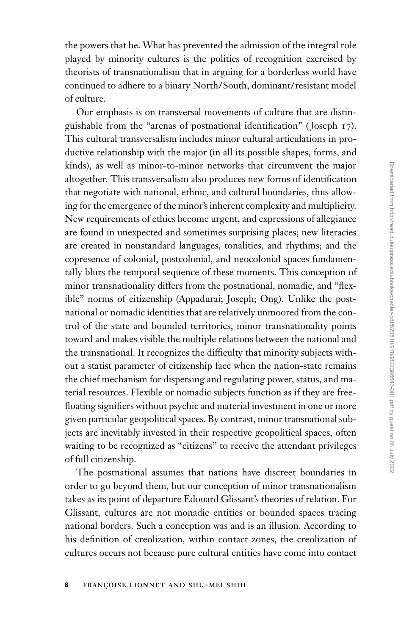the powers that be. What has prevented the admission of the integral role played by minority cultures is the politics of recognition exercised by theorists of transnationalism that in arguing for a borderless world have continued to adhere to a binary North/South, dominant/resistant model of culture.

Our emphasis is on transversal movements of culture that are distinguishable from the ''arenas of postnational identification'' ( Joseph 17). This cultural transversalism includes minor cultural articulations in productive relationship with the major (in all its possible shapes, forms, and kinds), as well as minor-to-minor networks that circumvent the major altogether. This transversalism also produces new forms of identification that negotiate with national, ethnic, and cultural boundaries, thus allowing for the emergence of the minor's inherent complexity and multiplicity. New requirements of ethics become urgent, and expressions of allegiance are found in unexpected and sometimes surprising places; new literacies are created in nonstandard languages, tonalities, and rhythms; and the copresence of colonial, postcolonial, and neocolonial spaces fundamentally blurs the temporal sequence of these moments. This conception of minor transnationality differs from the postnational, nomadic, and ''flexible'' norms of citizenship (Appadurai; Joseph; Ong). Unlike the postnational or nomadic identities that are relatively unmoored from the control of the state and bounded territories, minor transnationality points toward and makes visible the multiple relations between the national and the transnational. It recognizes the difficulty that minority subjects without a statist parameter of citizenship face when the nation-state remains the chief mechanism for dispersing and regulating power, status, and material resources. Flexible or nomadic subjects function as if they are freefloating signifiers without psychic and material investment in one or more given particular geopolitical spaces. By contrast, minor transnational subjects are inevitably invested in their respective geopolitical spaces, often waiting to be recognized as "citizens" to receive the attendant privileges of full citizenship.

The postnational assumes that nations have discreet boundaries in order to go beyond them, but our conception of minor transnationalism takes as its point of departure Edouard Glissant's theories of relation. For Glissant, cultures are not monadic entities or bounded spaces tracing national borders. Such a conception was and is an illusion. According to his definition of creolization, within contact zones, the creolization of cultures occurs not because pure cultural entities have come into contact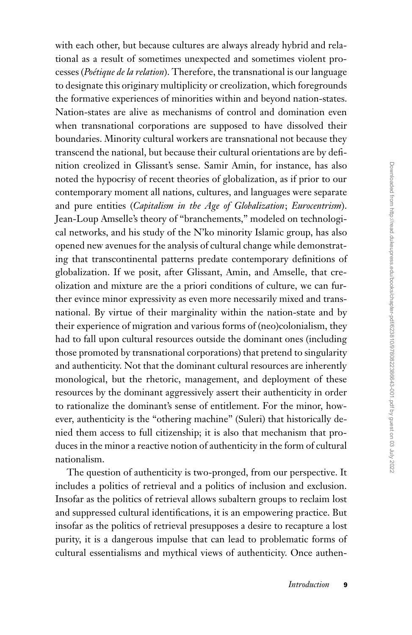with each other, but because cultures are always already hybrid and relational as a result of sometimes unexpected and sometimes violent processes (*Poétique de la relation*). Therefore, the transnational is our language to designate this originary multiplicity or creolization, which foregrounds the formative experiences of minorities within and beyond nation-states. Nation-states are alive as mechanisms of control and domination even when transnational corporations are supposed to have dissolved their boundaries. Minority cultural workers are transnational not because they transcend the national, but because their cultural orientations are by definition creolized in Glissant's sense. Samir Amin, for instance, has also noted the hypocrisy of recent theories of globalization, as if prior to our contemporary moment all nations, cultures, and languages were separate and pure entities (*Capitalism in the Age of Globalization*; *Eurocentrism*). Jean-Loup Amselle's theory of ''branchements,'' modeled on technological networks, and his study of the N'ko minority Islamic group, has also opened new avenues for the analysis of cultural change while demonstrating that transcontinental patterns predate contemporary definitions of globalization. If we posit, after Glissant, Amin, and Amselle, that creolization and mixture are the a priori conditions of culture, we can further evince minor expressivity as even more necessarily mixed and transnational. By virtue of their marginality within the nation-state and by their experience of migration and various forms of (neo)colonialism, they had to fall upon cultural resources outside the dominant ones (including those promoted by transnational corporations) that pretend to singularity and authenticity. Not that the dominant cultural resources are inherently monological, but the rhetoric, management, and deployment of these resources by the dominant aggressively assert their authenticity in order to rationalize the dominant's sense of entitlement. For the minor, however, authenticity is the "othering machine" (Suleri) that historically denied them access to full citizenship; it is also that mechanism that produces in the minor a reactive notion of authenticity in the form of cultural nationalism.

The question of authenticity is two-pronged, from our perspective. It includes a politics of retrieval and a politics of inclusion and exclusion. Insofar as the politics of retrieval allows subaltern groups to reclaim lost and suppressed cultural identifications, it is an empowering practice. But insofar as the politics of retrieval presupposes a desire to recapture a lost purity, it is a dangerous impulse that can lead to problematic forms of cultural essentialisms and mythical views of authenticity. Once authen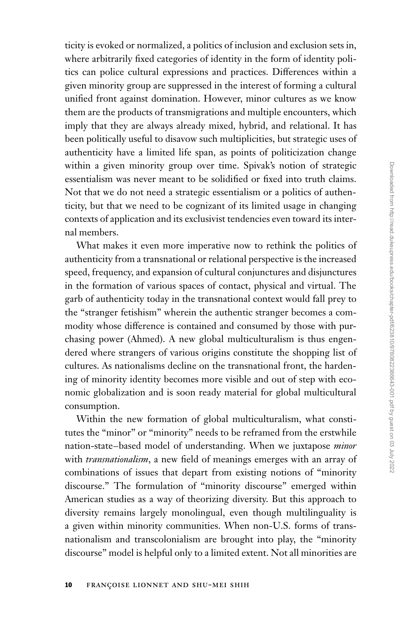ticity is evoked or normalized, a politics of inclusion and exclusion sets in, where arbitrarily fixed categories of identity in the form of identity politics can police cultural expressions and practices. Differences within a given minority group are suppressed in the interest of forming a cultural unified front against domination. However, minor cultures as we know them are the products of transmigrations and multiple encounters, which imply that they are always already mixed, hybrid, and relational. It has been politically useful to disavow such multiplicities, but strategic uses of authenticity have a limited life span, as points of politicization change within a given minority group over time. Spivak's notion of strategic essentialism was never meant to be solidified or fixed into truth claims. Not that we do not need a strategic essentialism or a politics of authenticity, but that we need to be cognizant of its limited usage in changing contexts of application and its exclusivist tendencies even toward its internal members.

What makes it even more imperative now to rethink the politics of authenticity from a transnational or relational perspective is the increased speed, frequency, and expansion of cultural conjunctures and disjunctures in the formation of various spaces of contact, physical and virtual. The garb of authenticity today in the transnational context would fall prey to the ''stranger fetishism'' wherein the authentic stranger becomes a commodity whose difference is contained and consumed by those with purchasing power (Ahmed). A new global multiculturalism is thus engendered where strangers of various origins constitute the shopping list of cultures. As nationalisms decline on the transnational front, the hardening of minority identity becomes more visible and out of step with economic globalization and is soon ready material for global multicultural consumption.

Within the new formation of global multiculturalism, what constitutes the ''minor'' or ''minority'' needs to be reframed from the erstwhile nation-state–based model of understanding. When we juxtapose *minor* with *transnationalism*, a new field of meanings emerges with an array of combinations of issues that depart from existing notions of ''minority discourse.'' The formulation of ''minority discourse'' emerged within American studies as a way of theorizing diversity. But this approach to diversity remains largely monolingual, even though multilinguality is a given within minority communities. When non-U.S. forms of transnationalism and transcolonialism are brought into play, the ''minority discourse'' model is helpful only to a limited extent. Not all minorities are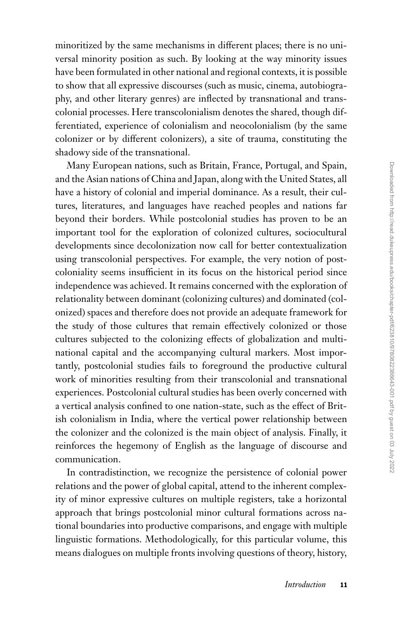minoritized by the same mechanisms in different places; there is no universal minority position as such. By looking at the way minority issues have been formulated in other national and regional contexts, it is possible to show that all expressive discourses (such as music, cinema, autobiography, and other literary genres) are inflected by transnational and transcolonial processes. Here transcolonialism denotes the shared, though differentiated, experience of colonialism and neocolonialism (by the same colonizer or by different colonizers), a site of trauma, constituting the shadowy side of the transnational.

Many European nations, such as Britain, France, Portugal, and Spain, and the Asian nations of China and Japan, along with the United States, all have a history of colonial and imperial dominance. As a result, their cultures, literatures, and languages have reached peoples and nations far beyond their borders. While postcolonial studies has proven to be an important tool for the exploration of colonized cultures, sociocultural developments since decolonization now call for better contextualization using transcolonial perspectives. For example, the very notion of postcoloniality seems insufficient in its focus on the historical period since independence was achieved. It remains concerned with the exploration of relationality between dominant (colonizing cultures) and dominated (colonized) spaces and therefore does not provide an adequate framework for the study of those cultures that remain effectively colonized or those cultures subjected to the colonizing effects of globalization and multinational capital and the accompanying cultural markers. Most importantly, postcolonial studies fails to foreground the productive cultural work of minorities resulting from their transcolonial and transnational experiences. Postcolonial cultural studies has been overly concerned with a vertical analysis confined to one nation-state, such as the effect of British colonialism in India, where the vertical power relationship between the colonizer and the colonized is the main object of analysis. Finally, it reinforces the hegemony of English as the language of discourse and communication.

In contradistinction, we recognize the persistence of colonial power relations and the power of global capital, attend to the inherent complexity of minor expressive cultures on multiple registers, take a horizontal approach that brings postcolonial minor cultural formations across national boundaries into productive comparisons, and engage with multiple linguistic formations. Methodologically, for this particular volume, this means dialogues on multiple fronts involving questions of theory, history,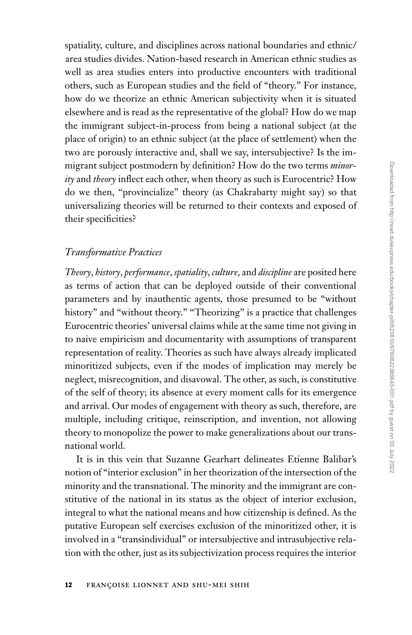spatiality, culture, and disciplines across national boundaries and ethnic/ area studies divides. Nation-based research in American ethnic studies as well as area studies enters into productive encounters with traditional others, such as European studies and the field of ''theory.'' For instance, how do we theorize an ethnic American subjectivity when it is situated elsewhere and is read as the representative of the global? How do we map the immigrant subject-in-process from being a national subject (at the place of origin) to an ethnic subject (at the place of settlement) when the two are porously interactive and, shall we say, intersubjective? Is the immigrant subject postmodern by definition? How do the two terms *minority* and *theory* inflect each other, when theory as such is Eurocentric? How do we then, ''provincialize'' theory (as Chakrabarty might say) so that universalizing theories will be returned to their contexts and exposed of their specificities?

## *Transformative Practices*

*Theory*, *history*, *performance*, *spatiality*, *culture*, and *discipline* are posited here as terms of action that can be deployed outside of their conventional parameters and by inauthentic agents, those presumed to be ''without history" and "without theory." "Theorizing" is a practice that challenges Eurocentric theories' universal claims while at the same time not giving in to naive empiricism and documentarity with assumptions of transparent representation of reality. Theories as such have always already implicated minoritized subjects, even if the modes of implication may merely be neglect, misrecognition, and disavowal. The other, as such, is constitutive of the self of theory; its absence at every moment calls for its emergence and arrival. Our modes of engagement with theory as such, therefore, are multiple, including critique, reinscription, and invention, not allowing theory to monopolize the power to make generalizations about our transnational world.

It is in this vein that Suzanne Gearhart delineates Etienne Balibar's notion of ''interior exclusion'' in her theorization of the intersection of the minority and the transnational. The minority and the immigrant are constitutive of the national in its status as the object of interior exclusion, integral to what the national means and how citizenship is defined. As the putative European self exercises exclusion of the minoritized other, it is involved in a ''transindividual'' or intersubjective and intrasubjective relation with the other, just as its subjectivization process requires the interior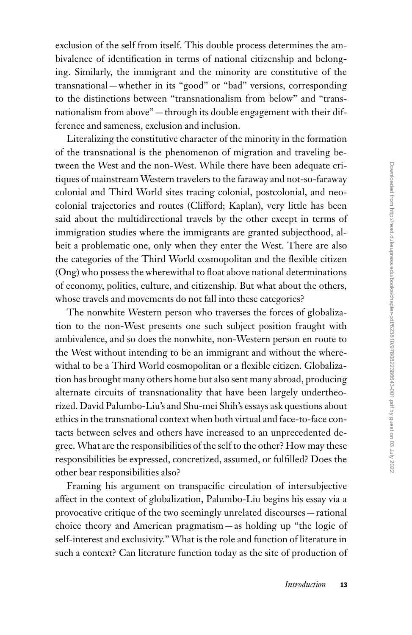exclusion of the self from itself. This double process determines the ambivalence of identification in terms of national citizenship and belonging. Similarly, the immigrant and the minority are constitutive of the transnational—whether in its ''good'' or ''bad'' versions, corresponding to the distinctions between ''transnationalism from below'' and ''transnationalism from above" — through its double engagement with their difference and sameness, exclusion and inclusion.

Literalizing the constitutive character of the minority in the formation of the transnational is the phenomenon of migration and traveling between the West and the non-West. While there have been adequate critiques of mainstream Western travelers to the faraway and not-so-faraway colonial and Third World sites tracing colonial, postcolonial, and neocolonial trajectories and routes (Clifford; Kaplan), very little has been said about the multidirectional travels by the other except in terms of immigration studies where the immigrants are granted subjecthood, albeit a problematic one, only when they enter the West. There are also the categories of the Third World cosmopolitan and the flexible citizen (Ong) who possess the wherewithal to float above national determinations of economy, politics, culture, and citizenship. But what about the others, whose travels and movements do not fall into these categories?

The nonwhite Western person who traverses the forces of globalization to the non-West presents one such subject position fraught with ambivalence, and so does the nonwhite, non-Western person en route to the West without intending to be an immigrant and without the wherewithal to be a Third World cosmopolitan or a flexible citizen. Globalization has brought many others home but also sent many abroad, producing alternate circuits of transnationality that have been largely undertheorized. David Palumbo-Liu's and Shu-mei Shih's essays ask questions about ethics in the transnational context when both virtual and face-to-face contacts between selves and others have increased to an unprecedented degree. What are the responsibilities of the self to the other? How may these responsibilities be expressed, concretized, assumed, or fulfilled? Does the other bear responsibilities also?

Framing his argument on transpacific circulation of intersubjective affect in the context of globalization, Palumbo-Liu begins his essay via a provocative critique of the two seemingly unrelated discourses—rational choice theory and American pragmatism—as holding up ''the logic of self-interest and exclusivity." What is the role and function of literature in such a context? Can literature function today as the site of production of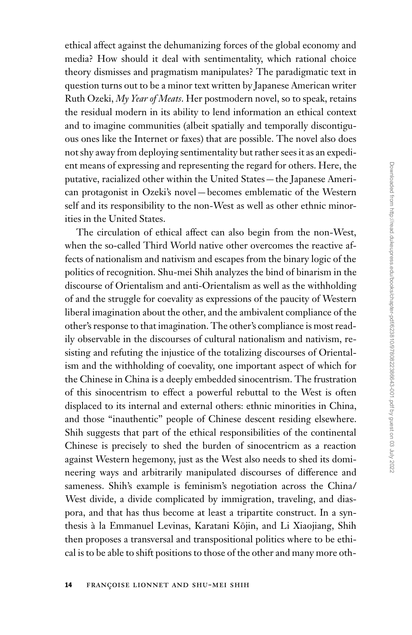ethical affect against the dehumanizing forces of the global economy and media? How should it deal with sentimentality, which rational choice theory dismisses and pragmatism manipulates? The paradigmatic text in question turns out to be a minor text written by Japanese American writer Ruth Ozeki, *My Year of Meats*. Her postmodern novel, so to speak, retains the residual modern in its ability to lend information an ethical context and to imagine communities (albeit spatially and temporally discontiguous ones like the Internet or faxes) that are possible. The novel also does not shy away from deploying sentimentality but rather sees it as an expedient means of expressing and representing the regard for others. Here, the putative, racialized other within the United States—the Japanese American protagonist in Ozeki's novel—becomes emblematic of the Western self and its responsibility to the non-West as well as other ethnic minorities in the United States.

The circulation of ethical affect can also begin from the non-West, when the so-called Third World native other overcomes the reactive affects of nationalism and nativism and escapes from the binary logic of the politics of recognition. Shu-mei Shih analyzes the bind of binarism in the discourse of Orientalism and anti-Orientalism as well as the withholding of and the struggle for coevality as expressions of the paucity of Western liberal imagination about the other, and the ambivalent compliance of the other's response to that imagination. The other's compliance is most readily observable in the discourses of cultural nationalism and nativism, resisting and refuting the injustice of the totalizing discourses of Orientalism and the withholding of coevality, one important aspect of which for the Chinese in China is a deeply embedded sinocentrism. The frustration of this sinocentrism to effect a powerful rebuttal to the West is often displaced to its internal and external others: ethnic minorities in China, and those ''inauthentic'' people of Chinese descent residing elsewhere. Shih suggests that part of the ethical responsibilities of the continental Chinese is precisely to shed the burden of sinocentricm as a reaction against Western hegemony, just as the West also needs to shed its domineering ways and arbitrarily manipulated discourses of difference and sameness. Shih's example is feminism's negotiation across the China/ West divide, a divide complicated by immigration, traveling, and diaspora, and that has thus become at least a tripartite construct. In a synthesis à la Emmanuel Levinas, Karatani Kōjin, and Li Xiaojiang, Shih then proposes a transversal and transpositional politics where to be ethical is to be able to shift positions to those of the other and many more oth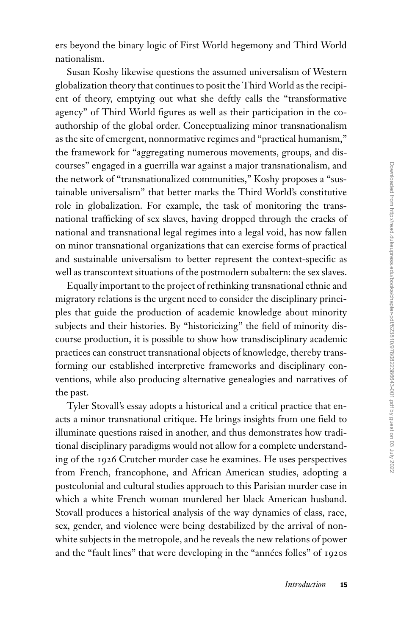ers beyond the binary logic of First World hegemony and Third World nationalism.

Susan Koshy likewise questions the assumed universalism of Western globalization theory that continues to posit the Third World as the recipient of theory, emptying out what she deftly calls the ''transformative agency'' of Third World figures as well as their participation in the coauthorship of the global order. Conceptualizing minor transnationalism as the site of emergent, nonnormative regimes and ''practical humanism,'' the framework for ''aggregating numerous movements, groups, and discourses'' engaged in a guerrilla war against a major transnationalism, and the network of "transnationalized communities," Koshy proposes a "sustainable universalism'' that better marks the Third World's constitutive role in globalization. For example, the task of monitoring the transnational trafficking of sex slaves, having dropped through the cracks of national and transnational legal regimes into a legal void, has now fallen on minor transnational organizations that can exercise forms of practical and sustainable universalism to better represent the context-specific as well as transcontext situations of the postmodern subaltern: the sex slaves.

Equally important to the project of rethinking transnational ethnic and migratory relations is the urgent need to consider the disciplinary principles that guide the production of academic knowledge about minority subjects and their histories. By ''historicizing'' the field of minority discourse production, it is possible to show how transdisciplinary academic practices can construct transnational objects of knowledge, thereby transforming our established interpretive frameworks and disciplinary conventions, while also producing alternative genealogies and narratives of the past.

Tyler Stovall's essay adopts a historical and a critical practice that enacts a minor transnational critique. He brings insights from one field to illuminate questions raised in another, and thus demonstrates how traditional disciplinary paradigms would not allow for a complete understanding of the 1926 Crutcher murder case he examines. He uses perspectives from French, francophone, and African American studies, adopting a postcolonial and cultural studies approach to this Parisian murder case in which a white French woman murdered her black American husband. Stovall produces a historical analysis of the way dynamics of class, race, sex, gender, and violence were being destabilized by the arrival of nonwhite subjects in the metropole, and he reveals the new relations of power and the ''fault lines'' that were developing in the ''années folles'' of 1920s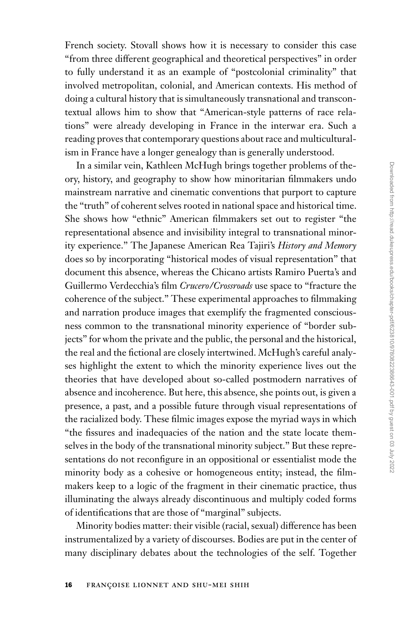French society. Stovall shows how it is necessary to consider this case ''from three different geographical and theoretical perspectives'' in order to fully understand it as an example of ''postcolonial criminality'' that involved metropolitan, colonial, and American contexts. His method of doing a cultural history that is simultaneously transnational and transcontextual allows him to show that ''American-style patterns of race relations'' were already developing in France in the interwar era. Such a reading proves that contemporary questions about race and multiculturalism in France have a longer genealogy than is generally understood.

In a similar vein, Kathleen McHugh brings together problems of theory, history, and geography to show how minoritarian filmmakers undo mainstream narrative and cinematic conventions that purport to capture the ''truth'' of coherent selves rooted in national space and historical time. She shows how "ethnic" American filmmakers set out to register "the representational absence and invisibility integral to transnational minority experience.'' The Japanese American Rea Tajiri's *History and Memory* does so by incorporating ''historical modes of visual representation'' that document this absence, whereas the Chicano artists Ramiro Puerta's and Guillermo Verdecchia's film *Crucero/Crossroads* use space to ''fracture the coherence of the subject.'' These experimental approaches to filmmaking and narration produce images that exemplify the fragmented consciousness common to the transnational minority experience of ''border subjects'' for whom the private and the public, the personal and the historical, the real and the fictional are closely intertwined. McHugh's careful analyses highlight the extent to which the minority experience lives out the theories that have developed about so-called postmodern narratives of absence and incoherence. But here, this absence, she points out, is given a presence, a past, and a possible future through visual representations of the racialized body. These filmic images expose the myriad ways in which ''the fissures and inadequacies of the nation and the state locate themselves in the body of the transnational minority subject.'' But these representations do not reconfigure in an oppositional or essentialist mode the minority body as a cohesive or homogeneous entity; instead, the filmmakers keep to a logic of the fragment in their cinematic practice, thus illuminating the always already discontinuous and multiply coded forms of identifications that are those of ''marginal'' subjects.

Minority bodies matter: their visible (racial, sexual) difference has been instrumentalized by a variety of discourses. Bodies are put in the center of many disciplinary debates about the technologies of the self. Together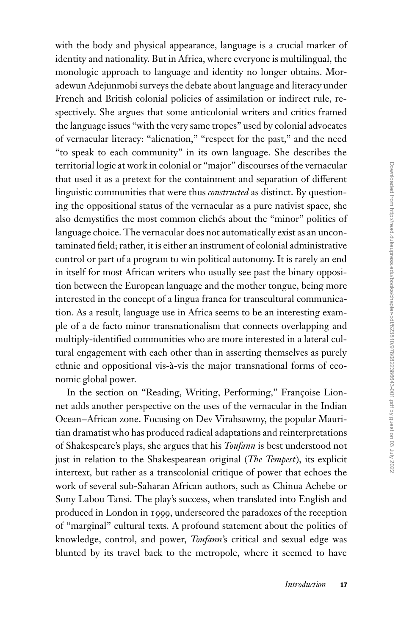with the body and physical appearance, language is a crucial marker of identity and nationality. But in Africa, where everyone is multilingual, the monologic approach to language and identity no longer obtains. Moradewun Adejunmobi surveys the debate about language and literacy under French and British colonial policies of assimilation or indirect rule, respectively. She argues that some anticolonial writers and critics framed the language issues ''with the very same tropes'' used by colonial advocates of vernacular literacy: "alienation," "respect for the past," and the need "to speak to each community" in its own language. She describes the territorial logic at work in colonial or ''major'' discourses of the vernacular that used it as a pretext for the containment and separation of different linguistic communities that were thus *constructed* as distinct. By questioning the oppositional status of the vernacular as a pure nativist space, she also demystifies the most common clichés about the ''minor'' politics of language choice. The vernacular does not automatically exist as an uncontaminated field; rather, it is either an instrument of colonial administrative control or part of a program to win political autonomy. It is rarely an end in itself for most African writers who usually see past the binary opposition between the European language and the mother tongue, being more interested in the concept of a lingua franca for transcultural communication. As a result, language use in Africa seems to be an interesting example of a de facto minor transnationalism that connects overlapping and multiply-identified communities who are more interested in a lateral cultural engagement with each other than in asserting themselves as purely ethnic and oppositional vis-à-vis the major transnational forms of economic global power.

In the section on ''Reading, Writing, Performing,'' Françoise Lionnet adds another perspective on the uses of the vernacular in the Indian Ocean–African zone. Focusing on Dev Virahsawmy, the popular Mauritian dramatist who has produced radical adaptations and reinterpretations of Shakespeare's plays, she argues that his *Toufann* is best understood not just in relation to the Shakespearean original (*The Tempest*), its explicit intertext, but rather as a transcolonial critique of power that echoes the work of several sub-Saharan African authors, such as Chinua Achebe or Sony Labou Tansi. The play's success, when translated into English and produced in London in 1999, underscored the paradoxes of the reception of ''marginal'' cultural texts. A profound statement about the politics of knowledge, control, and power, *Toufann*'s critical and sexual edge was blunted by its travel back to the metropole, where it seemed to have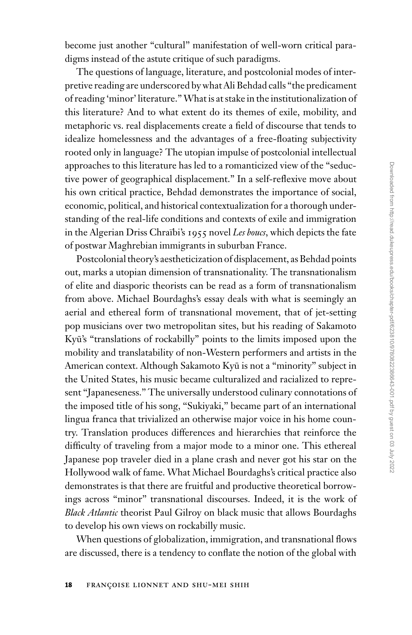become just another "cultural" manifestation of well-worn critical paradigms instead of the astute critique of such paradigms.

The questions of language, literature, and postcolonial modes of interpretive reading are underscored by what Ali Behdad calls ''the predicament of reading 'minor' literature.'' What is at stake in the institutionalization of this literature? And to what extent do its themes of exile, mobility, and metaphoric vs. real displacements create a field of discourse that tends to idealize homelessness and the advantages of a free-floating subjectivity rooted only in language? The utopian impulse of postcolonial intellectual approaches to this literature has led to a romanticized view of the ''seductive power of geographical displacement.'' In a self-reflexive move about his own critical practice, Behdad demonstrates the importance of social, economic, political, and historical contextualization for a thorough understanding of the real-life conditions and contexts of exile and immigration in the Algerian Driss Chraïbi's 1955 novel *Les boucs*, which depicts the fate of postwar Maghrebian immigrants in suburban France.

Postcolonial theory's aestheticization of displacement, as Behdad points out, marks a utopian dimension of transnationality. The transnationalism of elite and diasporic theorists can be read as a form of transnationalism from above. Michael Bourdaghs's essay deals with what is seemingly an aerial and ethereal form of transnational movement, that of jet-setting pop musicians over two metropolitan sites, but his reading of Sakamoto Kyū's "translations of rockabilly" points to the limits imposed upon the mobility and translatability of non-Western performers and artists in the American context. Although Sakamoto Kyū is not a "minority" subject in the United States, his music became culturalized and racialized to represent "Japaneseness." The universally understood culinary connotations of the imposed title of his song, ''Sukiyaki,'' became part of an international lingua franca that trivialized an otherwise major voice in his home country. Translation produces differences and hierarchies that reinforce the difficulty of traveling from a major mode to a minor one. This ethereal Japanese pop traveler died in a plane crash and never got his star on the Hollywood walk of fame. What Michael Bourdaghs's critical practice also demonstrates is that there are fruitful and productive theoretical borrowings across ''minor'' transnational discourses. Indeed, it is the work of *Black Atlantic* theorist Paul Gilroy on black music that allows Bourdaghs to develop his own views on rockabilly music.

When questions of globalization, immigration, and transnational flows are discussed, there is a tendency to conflate the notion of the global with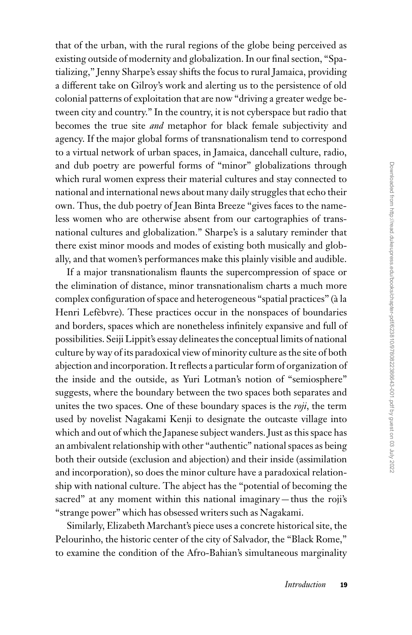that of the urban, with the rural regions of the globe being perceived as existing outside of modernity and globalization. In our final section, ''Spatializing,'' Jenny Sharpe's essay shifts the focus to rural Jamaica, providing a different take on Gilroy's work and alerting us to the persistence of old colonial patterns of exploitation that are now ''driving a greater wedge between city and country.'' In the country, it is not cyberspace but radio that becomes the true site *and* metaphor for black female subjectivity and agency. If the major global forms of transnationalism tend to correspond to a virtual network of urban spaces, in Jamaica, dancehall culture, radio, and dub poetry are powerful forms of ''minor'' globalizations through which rural women express their material cultures and stay connected to national and international news about many daily struggles that echo their own. Thus, the dub poetry of Jean Binta Breeze ''gives faces to the nameless women who are otherwise absent from our cartographies of transnational cultures and globalization.'' Sharpe's is a salutary reminder that there exist minor moods and modes of existing both musically and globally, and that women's performances make this plainly visible and audible.

If a major transnationalism flaunts the supercompression of space or the elimination of distance, minor transnationalism charts a much more complex configuration of space and heterogeneous ''spatial practices'' (à la Henri Lefèbvre). These practices occur in the nonspaces of boundaries and borders, spaces which are nonetheless infinitely expansive and full of possibilities. Seiji Lippit's essay delineates the conceptual limits of national culture by way of its paradoxical view of minority culture as the site of both abjection and incorporation. It reflects a particular form of organization of the inside and the outside, as Yuri Lotman's notion of ''semiosphere'' suggests, where the boundary between the two spaces both separates and unites the two spaces. One of these boundary spaces is the *roji*, the term used by novelist Nagakami Kenji to designate the outcaste village into which and out of which the Japanese subject wanders. Just as this space has an ambivalent relationship with other ''authentic'' national spaces as being both their outside (exclusion and abjection) and their inside (assimilation and incorporation), so does the minor culture have a paradoxical relationship with national culture. The abject has the ''potential of becoming the sacred'' at any moment within this national imaginary—thus the roji's "strange power" which has obsessed writers such as Nagakami.

Similarly, Elizabeth Marchant's piece uses a concrete historical site, the Pelourinho, the historic center of the city of Salvador, the ''Black Rome,'' to examine the condition of the Afro-Bahian's simultaneous marginality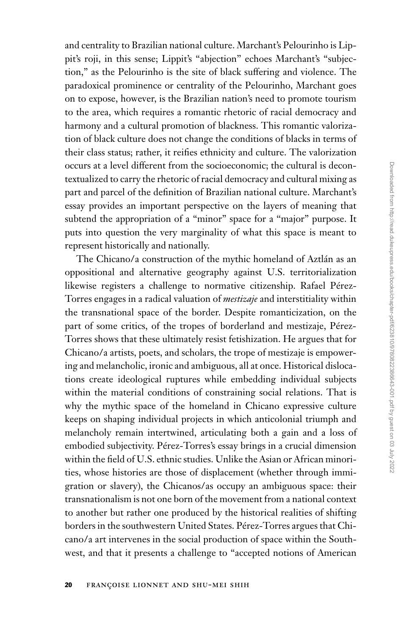and centrality to Brazilian national culture. Marchant's Pelourinho is Lippit's roji, in this sense; Lippit's "abjection" echoes Marchant's "subjection,'' as the Pelourinho is the site of black suffering and violence. The paradoxical prominence or centrality of the Pelourinho, Marchant goes on to expose, however, is the Brazilian nation's need to promote tourism to the area, which requires a romantic rhetoric of racial democracy and harmony and a cultural promotion of blackness. This romantic valorization of black culture does not change the conditions of blacks in terms of their class status; rather, it reifies ethnicity and culture. The valorization occurs at a level different from the socioeconomic; the cultural is decontextualized to carry the rhetoric of racial democracy and cultural mixing as part and parcel of the definition of Brazilian national culture. Marchant's essay provides an important perspective on the layers of meaning that subtend the appropriation of a "minor" space for a "major" purpose. It puts into question the very marginality of what this space is meant to represent historically and nationally.

The Chicano/a construction of the mythic homeland of Aztlán as an oppositional and alternative geography against U.S. territorialization likewise registers a challenge to normative citizenship. Rafael Pérez-Torres engages in a radical valuation of *mestizaje* and interstitiality within the transnational space of the border. Despite romanticization, on the part of some critics, of the tropes of borderland and mestizaje, Pérez-Torres shows that these ultimately resist fetishization. He argues that for Chicano/a artists, poets, and scholars, the trope of mestizaje is empowering and melancholic, ironic and ambiguous, all at once. Historical dislocations create ideological ruptures while embedding individual subjects within the material conditions of constraining social relations. That is why the mythic space of the homeland in Chicano expressive culture keeps on shaping individual projects in which anticolonial triumph and melancholy remain intertwined, articulating both a gain and a loss of embodied subjectivity. Pérez-Torres's essay brings in a crucial dimension within the field of U.S. ethnic studies. Unlike the Asian or African minorities, whose histories are those of displacement (whether through immigration or slavery), the Chicanos/as occupy an ambiguous space: their transnationalism is not one born of the movement from a national context to another but rather one produced by the historical realities of shifting borders in the southwestern United States. Pérez-Torres argues that Chicano/a art intervenes in the social production of space within the Southwest, and that it presents a challenge to "accepted notions of American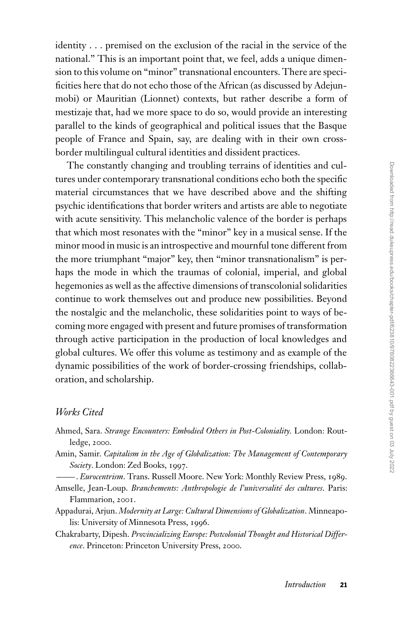identity . . . premised on the exclusion of the racial in the service of the national.'' This is an important point that, we feel, adds a unique dimension to this volume on ''minor'' transnational encounters. There are specificities here that do not echo those of the African (as discussed by Adejunmobi) or Mauritian (Lionnet) contexts, but rather describe a form of mestizaje that, had we more space to do so, would provide an interesting parallel to the kinds of geographical and political issues that the Basque people of France and Spain, say, are dealing with in their own crossborder multilingual cultural identities and dissident practices.

The constantly changing and troubling terrains of identities and cultures under contemporary transnational conditions echo both the specific material circumstances that we have described above and the shifting psychic identifications that border writers and artists are able to negotiate with acute sensitivity. This melancholic valence of the border is perhaps that which most resonates with the ''minor'' key in a musical sense. If the minor mood in music is an introspective and mournful tone different from the more triumphant "major" key, then "minor transnationalism" is perhaps the mode in which the traumas of colonial, imperial, and global hegemonies as well as the affective dimensions of transcolonial solidarities continue to work themselves out and produce new possibilities. Beyond the nostalgic and the melancholic, these solidarities point to ways of becoming more engaged with present and future promises of transformation through active participation in the production of local knowledges and global cultures. We offer this volume as testimony and as example of the dynamic possibilities of the work of border-crossing friendships, collaboration, and scholarship.

## *Works Cited*

- Ahmed, Sara. *Strange Encounters: Embodied Others in Post-Coloniality.* London: Routledge, 2000.
- Amin, Samir. *Capitalism in the Age of Globalization: The Management of Contemporary Society*. London: Zed Books, 1997.

———. *Eurocentrism*. Trans. Russell Moore. New York: Monthly Review Press, 1989.

- Amselle, Jean-Loup. *Branchements: Anthropologie de l'universalité des cultures*. Paris: Flammarion, 2001.
- Appadurai, Arjun. *Modernity at Large: Cultural Dimensions of Globalization*. Minneapolis: University of Minnesota Press, 1996.
- Chakrabarty, Dipesh. *Provincializing Europe: Postcolonial Thought and Historical Difference*. Princeton: Princeton University Press, 2000.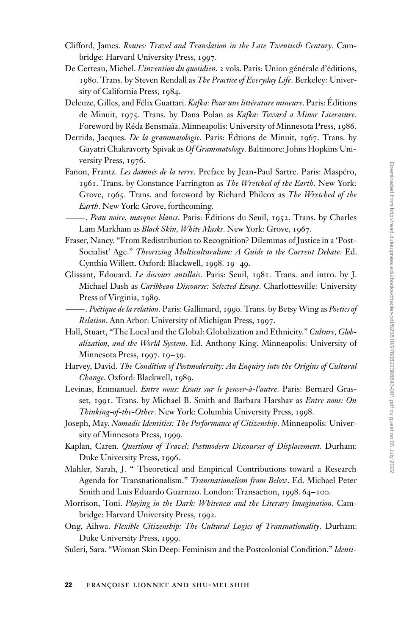- Clifford, James. *Routes: Travel and Translation in the Late Twentieth Century*. Cambridge: Harvard University Press, 1997.
- De Certeau, Michel. *L'invention du quotidien.* 2 vols. Paris: Union générale d'éditions, 1980. Trans. by Steven Rendall as *The Practice of Everyday Life*. Berkeley: University of California Press, 1984.
- Deleuze, Gilles, and Félix Guattari. *Kafka: Pour une littérature mineure*. Paris: Éditions de Minuit, 1975. Trans. by Dana Polan as *Kafka: Toward a Minor Literature.* Foreword by Réda Bensmaïa. Minneapolis: University of Minnesota Press, 1986.
- Derrida, Jacques. *De la grammatologie.* Paris: Édtions de Minuit, 1967. Trans. by Gayatri Chakravorty Spivak as *Of Grammatology*. Baltimore: Johns Hopkins University Press, 1976.
- Fanon, Frantz. *Les damnés de la terre*. Preface by Jean-Paul Sartre. Paris: Maspéro, 1961. Trans. by Constance Farrington as *The Wretched of the Earth*. New York: Grove, 1965. Trans. and foreword by Richard Philcox as *The Wretched of the Earth*. New York: Grove, forthcoming.
- ———. *Peau noire, masques blancs*. Paris: Éditions du Seuil, 1952. Trans. by Charles Lam Markham as *Black Skin, White Masks*. New York: Grove, 1967.
- Fraser, Nancy. ''From Redistribution to Recognition? Dilemmas of Justice in a 'Post-Socialist' Age.'' *Theorizing Multiculturalism: A Guide to the Current Debate*. Ed. Cynthia Willett. Oxford: Blackwell, 1998. 19–49.
- Glissant, Edouard. *Le discours antillais*. Paris: Seuil, 1981. Trans. and intro. by J. Michael Dash as *Caribbean Discourse: Selected Essays*. Charlottesville: University Press of Virginia, 1989.
- ———. *Poétique de la relation*. Paris: Gallimard, 1990. Trans. by Betsy Wing as *Poetics of Relation*. Ann Arbor: University of Michigan Press, 1997.
- Hall, Stuart, ''The Local and the Global: Globalization and Ethnicity.'' *Culture, Globalization, and the World System*. Ed. Anthony King. Minneapolis: University of Minnesota Press, 1997. 19–39.
- Harvey, David. *The Condition of Postmodernity: An Enquiry into the Origins of Cultural Change*. Oxford: Blackwell, 1989.
- Levinas, Emmanuel. *Entre nous: Essais sur le penser-à-l'autre*. Paris: Bernard Grasset, 1991. Trans. by Michael B. Smith and Barbara Harshav as *Entre nous: On Thinking-of-the-Other*. New York: Columbia University Press, 1998.
- Joseph, May. *Nomadic Identities: The Performance of Citizenship*. Minneapolis: University of Minnesota Press, 1999.
- Kaplan, Caren. *Questions of Travel: Postmodern Discourses of Displacement*. Durham: Duke University Press, 1996.
- Mahler, Sarah, J. '' Theoretical and Empirical Contributions toward a Research Agenda for Transnationalism.'' *Transnationalism from Below*. Ed. Michael Peter Smith and Luis Eduardo Guarnizo. London: Transaction, 1998. 64–100.
- Morrison, Toni. *Playing in the Dark: Whiteness and the Literary Imagination*. Cambridge: Harvard University Press, 1992.
- Ong, Aihwa. *Flexible Citizenship: The Cultural Logics of Transnationality*. Durham: Duke University Press, 1999.
- Suleri, Sara. ''Woman Skin Deep: Feminism and the Postcolonial Condition.'' *Identi-*